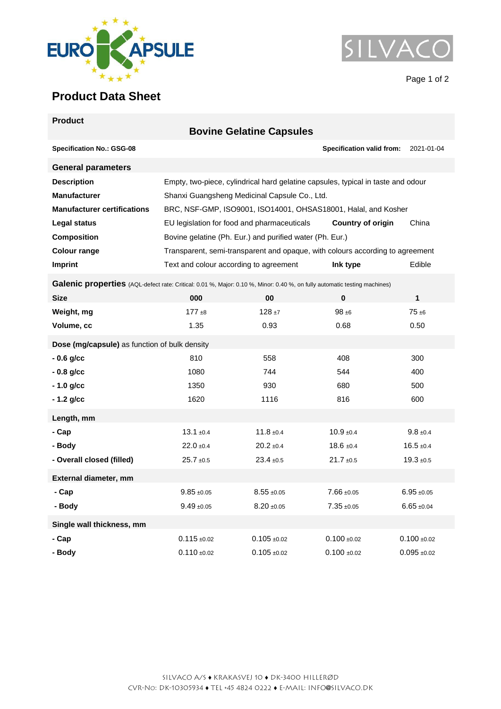



## **Product Data Sheet**

| <b>Product</b>                                                                                                            |                                                                                  |                                 |                           |                                     |  |  |
|---------------------------------------------------------------------------------------------------------------------------|----------------------------------------------------------------------------------|---------------------------------|---------------------------|-------------------------------------|--|--|
|                                                                                                                           |                                                                                  | <b>Bovine Gelatine Capsules</b> |                           |                                     |  |  |
| <b>Specification No.: GSG-08</b>                                                                                          |                                                                                  |                                 | Specification valid from: | 2021-01-04                          |  |  |
| <b>General parameters</b>                                                                                                 |                                                                                  |                                 |                           |                                     |  |  |
| <b>Description</b>                                                                                                        | Empty, two-piece, cylindrical hard gelatine capsules, typical in taste and odour |                                 |                           |                                     |  |  |
| <b>Manufacturer</b>                                                                                                       | Shanxi Guangsheng Medicinal Capsule Co., Ltd.                                    |                                 |                           |                                     |  |  |
| <b>Manufacturer certifications</b>                                                                                        | BRC, NSF-GMP, ISO9001, ISO14001, OHSAS18001, Halal, and Kosher                   |                                 |                           |                                     |  |  |
| Legal status                                                                                                              | EU legislation for food and pharmaceuticals<br><b>Country of origin</b><br>China |                                 |                           |                                     |  |  |
| <b>Composition</b>                                                                                                        | Bovine gelatine (Ph. Eur.) and purified water (Ph. Eur.)                         |                                 |                           |                                     |  |  |
| <b>Colour range</b>                                                                                                       | Transparent, semi-transparent and opaque, with colours according to agreement    |                                 |                           |                                     |  |  |
| Imprint                                                                                                                   | Text and colour according to agreement                                           |                                 | Ink type                  | Edible                              |  |  |
| Galenic properties (AQL-defect rate: Critical: 0.01 %, Major: 0.10 %, Minor: 0.40 %, on fully automatic testing machines) |                                                                                  |                                 |                           |                                     |  |  |
| <b>Size</b>                                                                                                               | 000                                                                              | 00                              | 0                         | 1                                   |  |  |
| Weight, mg                                                                                                                | $177 + 8$                                                                        | $128 + 7$                       | $98 + 6$                  | $75 + 6$                            |  |  |
| Volume, cc                                                                                                                | 1.35                                                                             | 0.93                            | 0.68                      | 0.50                                |  |  |
| Dose (mg/capsule) as function of bulk density                                                                             |                                                                                  |                                 |                           |                                     |  |  |
| $-0.6$ g/cc                                                                                                               | 810                                                                              | 558                             | 408                       | 300                                 |  |  |
| $-0.8$ g/cc                                                                                                               | 1080                                                                             | 744                             | 544                       | 400                                 |  |  |
| $-1.0$ g/cc                                                                                                               | 1350                                                                             | 930                             | 680                       | 500                                 |  |  |
| $-1.2$ g/cc                                                                                                               | 1620                                                                             | 1116                            | 816                       | 600                                 |  |  |
| Length, mm                                                                                                                |                                                                                  |                                 |                           |                                     |  |  |
| - Cap                                                                                                                     | $13.1 \pm 0.4$                                                                   | $11.8 \pm 0.4$                  | $10.9 + 0.4$              | $9.8 \pm 0.4$                       |  |  |
| - Body                                                                                                                    | $22.0 \pm 0.4$                                                                   | $20.2 \pm 0.4$                  | $18.6 \pm 0.4$            | $16.5 \pm 0.4$                      |  |  |
| - Overall closed (filled)                                                                                                 | $25.7 + 0.5$                                                                     | $23.4 \pm 0.5$                  | $21.7 \pm 0.5$            | $19.3 + 0.5$                        |  |  |
| External diameter, mm                                                                                                     |                                                                                  |                                 |                           |                                     |  |  |
| - Cap                                                                                                                     | $9.85 \pm 0.05$                                                                  | $8.55 \pm 0.05$                 | $7.66 \pm 0.05$           | $6.95 \pm 0.05$                     |  |  |
| - Body                                                                                                                    | $9.49 \pm 0.05$                                                                  | $8.20 + 0.05$                   | $7.35 + 0.05$             | $6.65 + 0.04$                       |  |  |
| Single wall thickness, mm                                                                                                 |                                                                                  |                                 |                           |                                     |  |  |
| - Cap                                                                                                                     | $0.115 \pm 0.02$                                                                 | $0.105 + 0.02$                  | $0.100 + 0.02$            | $0.100 + 0.02$                      |  |  |
| - Body                                                                                                                    | $0.110 \pm 0.02$                                                                 | $0.105 + 0.02$                  | $0.100 + 0.02$            | $0.095 \; \text{\textsterling}0.02$ |  |  |